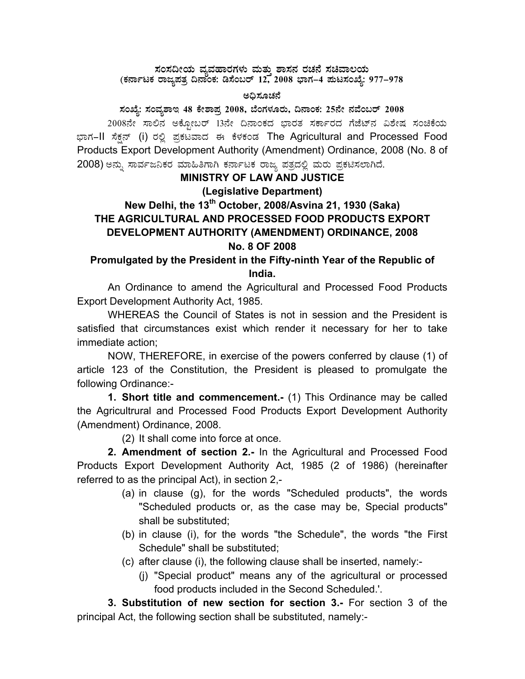#### ಸಂಸದೀಯ ವ್ಯವಹಾರಗಳು ಮತ್ತು ಶಾಸನ ರಚನೆ ಸಚಿವಾಲಯ (ಕರ್ನಾಟಕ ರಾಜ್ಯಪತ್ರ ದಿನಾಂಕ: ಡಿಸೆಂಬರ್ 12, 2008 ಭಾಗ–4 ಪುಟಸಂಖ್ಯೆ: 977–978

#### ಅದಿಸೂಚನೆ

#### ಸಂಖ್ಯೆ: ಸಂವ್ಯಶಾಇ 48 ಕೇಶಾಪ್ತ 2008, ಬೆಂಗಳೂರು, ದಿನಾಂಕ: 25ನೇ ನವೆಂಬರ್ 2008

2008ನೇ ಸಾಲಿನ ಅಕ್ಸೋಬರ್ 13ನೇ ದಿನಾಂಕದ ಭಾರತ ಸರ್ಕಾರದ ಗೆಜೆಟ್ನ ವಿಶೇಷ ಸಂಚಿಕೆಯ ಭಾಗ–II ಸೆಕ್ಸ್ (i) ರಲ್ಲಿ ಪ್ರಕಟವಾದ ಈ ಕೆಳಕಂಡ The Agricultural and Processed Food Products Export Development Authority (Amendment) Ordinance, 2008 (No. 8 of 2008) ಅನ್ನು ಸಾರ್ವಜನಿಕರ ಮಾಹಿತಿಗಾಗಿ ಕರ್ನಾಟಕ ರಾಜ್ಯ ಪತ್ರದಲ್ಲಿ ಮರು ಪ್ರಕಟಿಸಲಾಗಿದೆ.

### **MINISTRY OF LAW AND JUSTICE** (Legislative Department)

# New Delhi, the 13<sup>th</sup> October, 2008/Asvina 21, 1930 (Saka) THE AGRICULTURAL AND PROCESSED FOOD PRODUCTS EXPORT DEVELOPMENT AUTHORITY (AMENDMENT) ORDINANCE, 2008 No. 8 OF 2008

## Promulgated by the President in the Fifty-ninth Year of the Republic of India.

An Ordinance to amend the Agricultural and Processed Food Products Export Development Authority Act, 1985.

WHEREAS the Council of States is not in session and the President is satisfied that circumstances exist which render it necessary for her to take immediate action;

NOW, THEREFORE, in exercise of the powers conferred by clause (1) of article 123 of the Constitution, the President is pleased to promulgate the following Ordinance:-

1. Short title and commencement.- (1) This Ordinance may be called the Agricultrural and Processed Food Products Export Development Authority (Amendment) Ordinance, 2008.

(2) It shall come into force at once.

2. Amendment of section 2.- In the Agricultural and Processed Food Products Export Development Authority Act, 1985 (2 of 1986) (hereinafter referred to as the principal Act), in section 2,-

- (a) in clause (g), for the words "Scheduled products", the words "Scheduled products or, as the case may be, Special products" shall be substituted:
- (b) in clause (i), for the words "the Schedule", the words "the First Schedule" shall be substituted:
- (c) after clause (i), the following clause shall be inserted, namely:-
	- (i) "Special product" means any of the agricultural or processed food products included in the Second Scheduled.'.

3. Substitution of new section for section 3.- For section 3 of the principal Act, the following section shall be substituted, namely:-